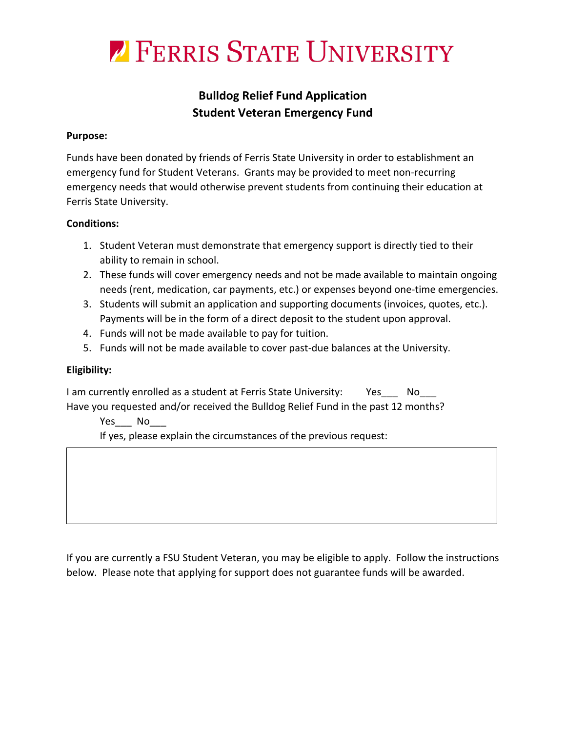# **/ FERRIS STATE UNIVERSITY**

# **Bulldog Relief Fund Application Student Veteran Emergency Fund**

## **Purpose:**

Funds have been donated by friends of Ferris State University in order to establishment an emergency fund for Student Veterans. Grants may be provided to meet non-recurring emergency needs that would otherwise prevent students from continuing their education at Ferris State University.

# **Conditions:**

- 1. Student Veteran must demonstrate that emergency support is directly tied to their ability to remain in school.
- 2. These funds will cover emergency needs and not be made available to maintain ongoing needs (rent, medication, car payments, etc.) or expenses beyond one-time emergencies.
- 3. Students will submit an application and supporting documents (invoices, quotes, etc.). Payments will be in the form of a direct deposit to the student upon approval.
- 4. Funds will not be made available to pay for tuition.
- 5. Funds will not be made available to cover past-due balances at the University.

# **Eligibility:**

I am currently enrolled as a student at Ferris State University: Yes No Have you requested and/or received the Bulldog Relief Fund in the past 12 months?

Yes\_\_\_ No

If yes, please explain the circumstances of the previous request:

If you are currently a FSU Student Veteran, you may be eligible to apply. Follow the instructions below. Please note that applying for support does not guarantee funds will be awarded.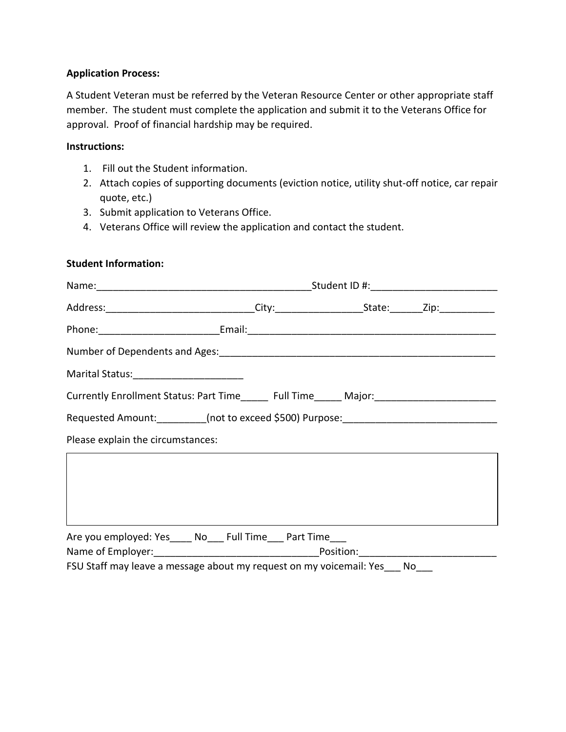### **Application Process:**

A Student Veteran must be referred by the Veteran Resource Center or other appropriate staff member. The student must complete the application and submit it to the Veterans Office for approval. Proof of financial hardship may be required.

#### **Instructions:**

- 1. Fill out the Student information.
- 2. Attach copies of supporting documents (eviction notice, utility shut-off notice, car repair quote, etc.)
- 3. Submit application to Veterans Office.
- 4. Veterans Office will review the application and contact the student.

### **Student Information:**

| Marital Status: __________________________                                                           |                                                                                  |  |  |
|------------------------------------------------------------------------------------------------------|----------------------------------------------------------------------------------|--|--|
| Currently Enrollment Status: Part Time_______ Full Time______ Major:________________________________ |                                                                                  |  |  |
| Requested Amount:_________(not to exceed \$500) Purpose:_________________________                    |                                                                                  |  |  |
| Please explain the circumstances:                                                                    | ,我们也不会有什么。""我们的人,我们也不会有什么?""我们的人,我们也不会有什么?""我们的人,我们也不会有什么?""我们的人,我们也不会有什么?""我们的人 |  |  |
|                                                                                                      |                                                                                  |  |  |
|                                                                                                      |                                                                                  |  |  |
|                                                                                                      |                                                                                  |  |  |
| Are you employed: Yes____ No___ Full Time___ Part Time___                                            |                                                                                  |  |  |
|                                                                                                      |                                                                                  |  |  |
| FSU Staff may leave a message about my request on my voicemail: Yes___ No___                         |                                                                                  |  |  |